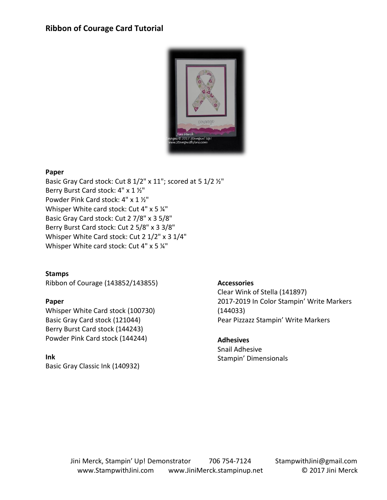### **Ribbon of Courage Card Tutorial**



#### **Paper**

Basic Gray Card stock: Cut 8 1/2" x 11"; scored at 5 1/2 ½" Berry Burst Card stock: 4" x 1 ½" Powder Pink Card stock: 4" x 1 ½" Whisper White card stock: Cut 4" x 5 1/4" Basic Gray Card stock: Cut 2 7/8" x 3 5/8" Berry Burst Card stock: Cut 2 5/8" x 3 3/8" Whisper White Card stock: Cut 2 1/2" x 3 1/4" Whisper White card stock: Cut 4" x 5 1/4"

**Stamps**

Ribbon of Courage (143852/143855)

#### **Paper**

Whisper White Card stock (100730) Basic Gray Card stock (121044) Berry Burst Card stock (144243) Powder Pink Card stock (144244)

#### **Ink**

Basic Gray Classic Ink (140932)

#### **Accessories**

Clear Wink of Stella (141897) 2017-2019 In Color Stampin' Write Markers (144033) Pear Pizzazz Stampin' Write Markers

#### **Adhesives**

Snail Adhesive Stampin' Dimensionals